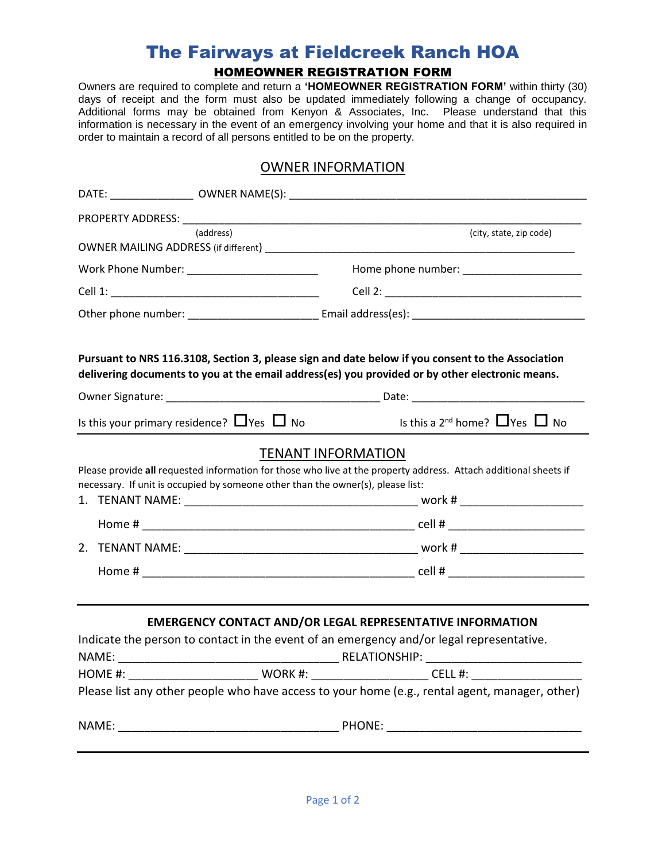## The Fairways at Fieldcreek Ranch HOA HOMEOWNER REGISTRATION FORM

Owners are required to complete and return a **'HOMEOWNER REGISTRATION FORM'** within thirty (30) days of receipt and the form must also be updated immediately following a change of occupancy. Additional forms may be obtained from Kenyon & Associates, Inc. Please understand that this information is necessary in the event of an emergency involving your home and that it is also required in order to maintain a record of all persons entitled to be on the property.

## OWNER INFORMATION

| PROPERTY ADDRESS: NAMEL AND THE |                                                                                 |                                                                                                                                                                                                      |  |  |
|---------------------------------|---------------------------------------------------------------------------------|------------------------------------------------------------------------------------------------------------------------------------------------------------------------------------------------------|--|--|
|                                 | (address)                                                                       | (city, state, zip code)                                                                                                                                                                              |  |  |
|                                 |                                                                                 |                                                                                                                                                                                                      |  |  |
|                                 |                                                                                 |                                                                                                                                                                                                      |  |  |
|                                 |                                                                                 |                                                                                                                                                                                                      |  |  |
|                                 |                                                                                 | Pursuant to NRS 116.3108, Section 3, please sign and date below if you consent to the Association<br>delivering documents to you at the email address(es) you provided or by other electronic means. |  |  |
|                                 |                                                                                 |                                                                                                                                                                                                      |  |  |
|                                 |                                                                                 | Is this your primary residence? $\Box$ Yes $\Box$ No $\Box$ Is this a 2 <sup>nd</sup> home? $\Box$ Yes $\Box$ No                                                                                     |  |  |
|                                 | necessary. If unit is occupied by someone other than the owner(s), please list: | <b>TENANT INFORMATION</b><br>Please provide all requested information for those who live at the property address. Attach additional sheets if                                                        |  |  |
|                                 |                                                                                 | <b>EMERGENCY CONTACT AND/OR LEGAL REPRESENTATIVE INFORMATION</b><br>Indicate the person to contact in the event of an emergency and/or legal representative.                                         |  |  |
|                                 |                                                                                 |                                                                                                                                                                                                      |  |  |
|                                 |                                                                                 |                                                                                                                                                                                                      |  |  |
|                                 |                                                                                 | Please list any other people who have access to your home (e.g., rental agent, manager, other)                                                                                                       |  |  |
|                                 |                                                                                 |                                                                                                                                                                                                      |  |  |